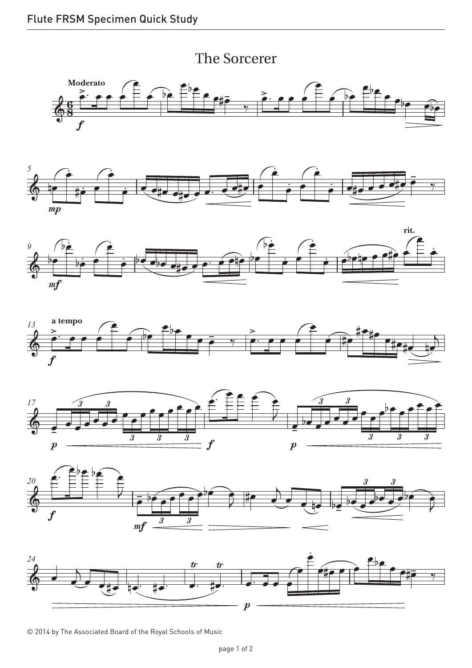













© 2014 by The Associated Board of the Royal Schools of Music